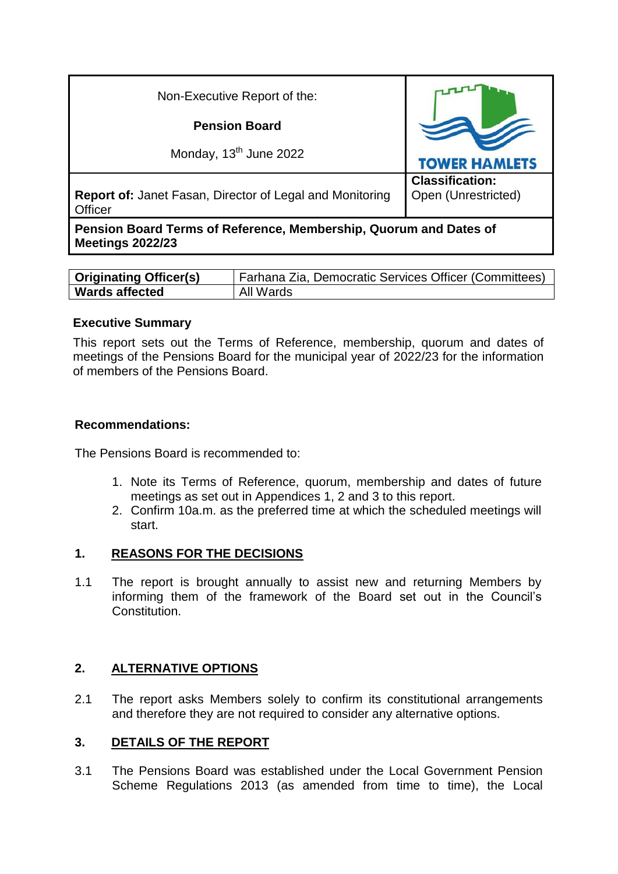| Non-Executive Report of the:                                                                 |                                               |
|----------------------------------------------------------------------------------------------|-----------------------------------------------|
| <b>Pension Board</b>                                                                         |                                               |
| Monday, 13 <sup>th</sup> June 2022                                                           | <b>TOWER HAMLETS</b>                          |
| <b>Report of: Janet Fasan, Director of Legal and Monitoring</b><br>Officer                   | <b>Classification:</b><br>Open (Unrestricted) |
| Pension Board Terms of Reference, Membership, Quorum and Dates of<br><b>Meetings 2022/23</b> |                                               |

| <b>Originating Officer(s)</b> | Farhana Zia, Democratic Services Officer (Committees) |
|-------------------------------|-------------------------------------------------------|
| <b>Wards affected</b>         | All Wards                                             |

### **Executive Summary**

This report sets out the Terms of Reference, membership, quorum and dates of meetings of the Pensions Board for the municipal year of 2022/23 for the information of members of the Pensions Board.

#### **Recommendations:**

The Pensions Board is recommended to:

- 1. Note its Terms of Reference, quorum, membership and dates of future meetings as set out in Appendices 1, 2 and 3 to this report.
- 2. Confirm 10a.m. as the preferred time at which the scheduled meetings will start.

### **1. REASONS FOR THE DECISIONS**

1.1 The report is brought annually to assist new and returning Members by informing them of the framework of the Board set out in the Council's Constitution.

## **2. ALTERNATIVE OPTIONS**

2.1 The report asks Members solely to confirm its constitutional arrangements and therefore they are not required to consider any alternative options.

### **3. DETAILS OF THE REPORT**

3.1 The Pensions Board was established under the Local Government Pension Scheme Regulations 2013 (as amended from time to time), the Local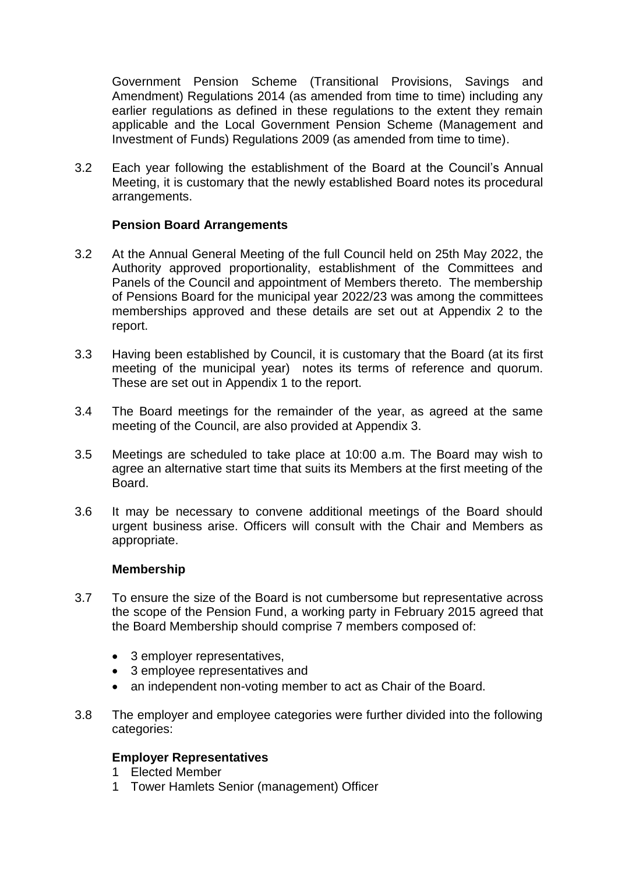Government Pension Scheme (Transitional Provisions, Savings and Amendment) Regulations 2014 (as amended from time to time) including any earlier regulations as defined in these regulations to the extent they remain applicable and the Local Government Pension Scheme (Management and Investment of Funds) Regulations 2009 (as amended from time to time).

3.2 Each year following the establishment of the Board at the Council's Annual Meeting, it is customary that the newly established Board notes its procedural arrangements.

### **Pension Board Arrangements**

- 3.2 At the Annual General Meeting of the full Council held on 25th May 2022, the Authority approved proportionality, establishment of the Committees and Panels of the Council and appointment of Members thereto. The membership of Pensions Board for the municipal year 2022/23 was among the committees memberships approved and these details are set out at Appendix 2 to the report.
- 3.3 Having been established by Council, it is customary that the Board (at its first meeting of the municipal year) notes its terms of reference and quorum. These are set out in Appendix 1 to the report.
- 3.4 The Board meetings for the remainder of the year, as agreed at the same meeting of the Council, are also provided at Appendix 3.
- 3.5 Meetings are scheduled to take place at 10:00 a.m. The Board may wish to agree an alternative start time that suits its Members at the first meeting of the Board.
- 3.6 It may be necessary to convene additional meetings of the Board should urgent business arise. Officers will consult with the Chair and Members as appropriate.

### **Membership**

- 3.7 To ensure the size of the Board is not cumbersome but representative across the scope of the Pension Fund, a working party in February 2015 agreed that the Board Membership should comprise 7 members composed of:
	- 3 employer representatives,
	- 3 employee representatives and
	- an independent non-voting member to act as Chair of the Board.
- 3.8 The employer and employee categories were further divided into the following categories:

## **Employer Representatives**

- 1 Elected Member
- 1 Tower Hamlets Senior (management) Officer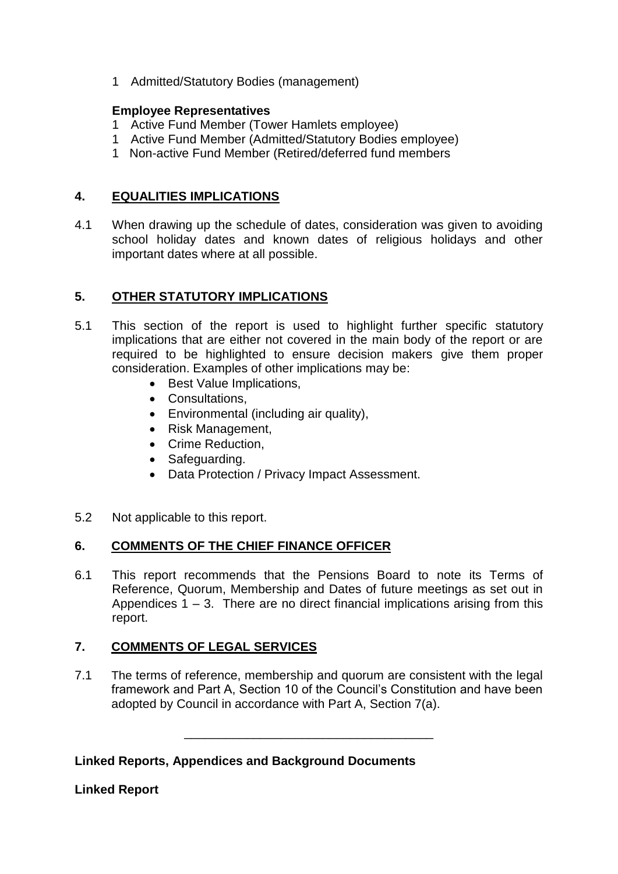1 Admitted/Statutory Bodies (management)

### **Employee Representatives**

- 1 Active Fund Member (Tower Hamlets employee)
- 1 Active Fund Member (Admitted/Statutory Bodies employee)
- 1 Non-active Fund Member (Retired/deferred fund members

# **4. EQUALITIES IMPLICATIONS**

4.1 When drawing up the schedule of dates, consideration was given to avoiding school holiday dates and known dates of religious holidays and other important dates where at all possible.

# **5. OTHER STATUTORY IMPLICATIONS**

- 5.1 This section of the report is used to highlight further specific statutory implications that are either not covered in the main body of the report or are required to be highlighted to ensure decision makers give them proper consideration. Examples of other implications may be:
	- Best Value Implications.
	- Consultations,
	- Environmental (including air quality),
	- Risk Management,
	- Crime Reduction.
	- Safeguarding.
	- Data Protection / Privacy Impact Assessment.
- 5.2 Not applicable to this report.

# **6. COMMENTS OF THE CHIEF FINANCE OFFICER**

6.1 This report recommends that the Pensions Board to note its Terms of Reference, Quorum, Membership and Dates of future meetings as set out in Appendices  $1 - 3$ . There are no direct financial implications arising from this report.

# **7. COMMENTS OF LEGAL SERVICES**

7.1 The terms of reference, membership and quorum are consistent with the legal framework and Part A, Section 10 of the Council's Constitution and have been adopted by Council in accordance with Part A, Section 7(a).

\_\_\_\_\_\_\_\_\_\_\_\_\_\_\_\_\_\_\_\_\_\_\_\_\_\_\_\_\_\_\_\_\_\_\_\_

## **Linked Reports, Appendices and Background Documents**

**Linked Report**